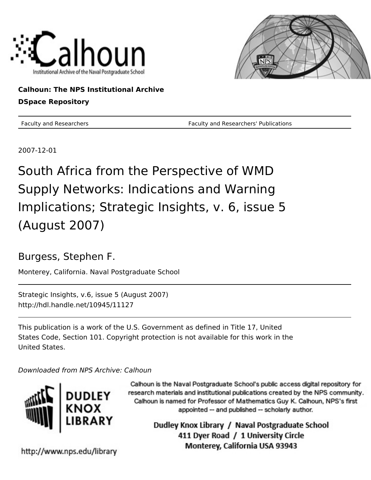



# **Calhoun: The NPS Institutional Archive DSpace Repository**

Faculty and Researchers Faculty and Researchers' Publications

2007-12-01

# South Africa from the Perspective of WMD Supply Networks: Indications and Warning Implications; Strategic Insights, v. 6, issue 5 (August 2007)

# Burgess, Stephen F.

Monterey, California. Naval Postgraduate School

Strategic Insights, v.6, issue 5 (August 2007) http://hdl.handle.net/10945/11127

This publication is a work of the U.S. Government as defined in Title 17, United States Code, Section 101. Copyright protection is not available for this work in the United States.

Downloaded from NPS Archive: Calhoun



Calhoun is the Naval Postgraduate School's public access digital repository for research materials and institutional publications created by the NPS community. Calhoun is named for Professor of Mathematics Guy K. Calhoun, NPS's first appointed -- and published -- scholarly author.

> Dudley Knox Library / Naval Postgraduate School 411 Dyer Road / 1 University Circle Monterey, California USA 93943

http://www.nps.edu/library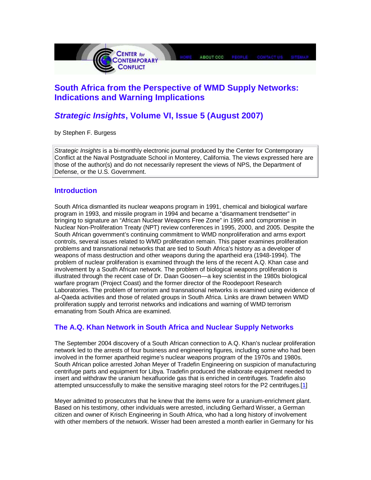

### **South Africa from the Perspective of WMD Supply Networks: Indications and Warning Implications**

## **Strategic Insights, Volume VI, Issue 5 (August 2007)**

by Stephen F. Burgess

Strategic Insights is a bi-monthly electronic journal produced by the Center for Contemporary Conflict at the Naval Postgraduate School in Monterey, California. The views expressed here are those of the author(s) and do not necessarily represent the views of NPS, the Department of Defense, or the U.S. Government.

#### **Introduction**

South Africa dismantled its nuclear weapons program in 1991, chemical and biological warfare program in 1993, and missile program in 1994 and became a "disarmament trendsetter" in bringing to signature an "African Nuclear Weapons Free Zone" in 1995 and compromise in Nuclear Non-Proliferation Treaty (NPT) review conferences in 1995, 2000, and 2005. Despite the South African government's continuing commitment to WMD nonproliferation and arms export controls, several issues related to WMD proliferation remain. This paper examines proliferation problems and transnational networks that are tied to South Africa's history as a developer of weapons of mass destruction and other weapons during the apartheid era (1948-1994). The problem of nuclear proliferation is examined through the lens of the recent A.Q. Khan case and involvement by a South African network. The problem of biological weapons proliferation is illustrated through the recent case of Dr. Daan Goosen—a key scientist in the 1980s biological warfare program (Project Coast) and the former director of the Roodepoort Research Laboratories. The problem of terrorism and transnational networks is examined using evidence of al-Qaeda activities and those of related groups in South Africa. Links are drawn between WMD proliferation supply and terrorist networks and indications and warning of WMD terrorism emanating from South Africa are examined.

#### **The A.Q. Khan Network in South Africa and Nuclear Supply Networks**

The September 2004 discovery of a South African connection to A.Q. Khan's nuclear proliferation network led to the arrests of four business and engineering figures, including some who had been involved in the former apartheid regime's nuclear weapons program of the 1970s and 1980s. South African police arrested Johan Meyer of Tradefin Engineering on suspicion of manufacturing centrifuge parts and equipment for Libya. Tradefin produced the elaborate equipment needed to insert and withdraw the uranium hexafluoride gas that is enriched in centrifuges. Tradefin also attempted unsuccessfully to make the sensitive maraging steel rotors for the P2 centrifuges.[1]

Meyer admitted to prosecutors that he knew that the items were for a uranium-enrichment plant. Based on his testimony, other individuals were arrested, including Gerhard Wisser, a German citizen and owner of Krisch Engineering in South Africa, who had a long history of involvement with other members of the network. Wisser had been arrested a month earlier in Germany for his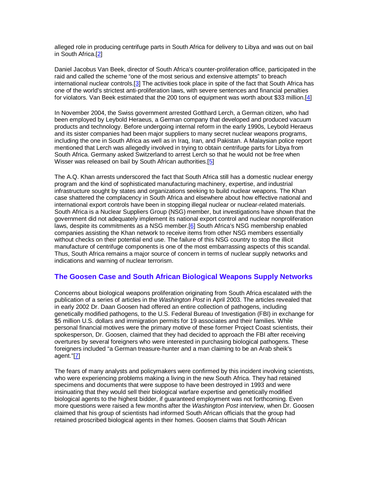alleged role in producing centrifuge parts in South Africa for delivery to Libya and was out on bail in South Africa.[2]

Daniel Jacobus Van Beek, director of South Africa's counter-proliferation office, participated in the raid and called the scheme "one of the most serious and extensive attempts" to breach international nuclear controls.[3] The activities took place in spite of the fact that South Africa has one of the world's strictest anti-proliferation laws, with severe sentences and financial penalties for violators. Van Beek estimated that the 200 tons of equipment was worth about \$33 million.[4]

In November 2004, the Swiss government arrested Gotthard Lerch, a German citizen, who had been employed by Leybold Heraeus, a German company that developed and produced vacuum products and technology. Before undergoing internal reform in the early 1990s, Leybold Heraeus and its sister companies had been major suppliers to many secret nuclear weapons programs, including the one in South Africa as well as in Iraq, Iran, and Pakistan. A Malaysian police report mentioned that Lerch was allegedly involved in trying to obtain centrifuge parts for Libya from South Africa. Germany asked Switzerland to arrest Lerch so that he would not be free when Wisser was released on bail by South African authorities.<sup>[5]</sup>

The A.Q. Khan arrests underscored the fact that South Africa still has a domestic nuclear energy program and the kind of sophisticated manufacturing machinery, expertise, and industrial infrastructure sought by states and organizations seeking to build nuclear weapons. The Khan case shattered the complacency in South Africa and elsewhere about how effective national and international export controls have been in stopping illegal nuclear or nuclear-related materials. South Africa is a Nuclear Suppliers Group (NSG) member, but investigations have shown that the government did not adequately implement its national export control and nuclear nonproliferation laws, despite its commitments as a NSG member.[6] South Africa's NSG membership enabled companies assisting the Khan network to receive items from other NSG members essentially without checks on their potential end use. The failure of this NSG country to stop the illicit manufacture of centrifuge components is one of the most embarrassing aspects of this scandal. Thus, South Africa remains a major source of concern in terms of nuclear supply networks and indications and warning of nuclear terrorism.

#### **The Goosen Case and South African Biological Weapons Supply Networks**

Concerns about biological weapons proliferation originating from South Africa escalated with the publication of a series of articles in the Washington Post in April 2003. The articles revealed that in early 2002 Dr. Daan Goosen had offered an entire collection of pathogens, including genetically modified pathogens, to the U.S. Federal Bureau of Investigation (FBI) in exchange for \$5 million U.S. dollars and immigration permits for 19 associates and their families. While personal financial motives were the primary motive of these former Project Coast scientists, their spokesperson, Dr. Goosen, claimed that they had decided to approach the FBI after receiving overtures by several foreigners who were interested in purchasing biological pathogens. These foreigners included "a German treasure-hunter and a man claiming to be an Arab sheik's agent."[7]

The fears of many analysts and policymakers were confirmed by this incident involving scientists, who were experiencing problems making a living in the new South Africa. They had retained specimens and documents that were suppose to have been destroyed in 1993 and were insinuating that they would sell their biological warfare expertise and genetically modified biological agents to the highest bidder, if guaranteed employment was not forthcoming. Even more questions were raised a few months after the Washington Post interview, when Dr. Goosen claimed that his group of scientists had informed South African officials that the group had retained proscribed biological agents in their homes. Goosen claims that South African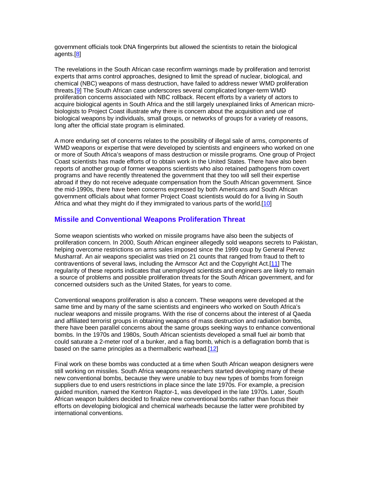government officials took DNA fingerprints but allowed the scientists to retain the biological agents.[8]

The revelations in the South African case reconfirm warnings made by proliferation and terrorist experts that arms control approaches, designed to limit the spread of nuclear, biological, and chemical (NBC) weapons of mass destruction, have failed to address newer WMD proliferation threats.[9] The South African case underscores several complicated longer-term WMD proliferation concerns associated with NBC rollback. Recent efforts by a variety of actors to acquire biological agents in South Africa and the still largely unexplained links of American microbiologists to Project Coast illustrate why there is concern about the acquisition and use of biological weapons by individuals, small groups, or networks of groups for a variety of reasons, long after the official state program is eliminated.

A more enduring set of concerns relates to the possibility of illegal sale of arms, components of WMD weapons or expertise that were developed by scientists and engineers who worked on one or more of South Africa's weapons of mass destruction or missile programs. One group of Project Coast scientists has made efforts of to obtain work in the United States. There have also been reports of another group of former weapons scientists who also retained pathogens from covert programs and have recently threatened the government that they too will sell their expertise abroad if they do not receive adequate compensation from the South African government. Since the mid-1990s, there have been concerns expressed by both Americans and South African government officials about what former Project Coast scientists would do for a living in South Africa and what they might do if they immigrated to various parts of the world.[10]

#### **Missile and Conventional Weapons Proliferation Threat**

Some weapon scientists who worked on missile programs have also been the subjects of proliferation concern. In 2000, South African engineer allegedly sold weapons secrets to Pakistan, helping overcome restrictions on arms sales imposed since the 1999 coup by General Pervez Musharraf. An air weapons specialist was tried on 21 counts that ranged from fraud to theft to contraventions of several laws, including the Armscor Act and the Copyright Act.[11] The regularity of these reports indicates that unemployed scientists and engineers are likely to remain a source of problems and possible proliferation threats for the South African government, and for concerned outsiders such as the United States, for years to come.

Conventional weapons proliferation is also a concern. These weapons were developed at the same time and by many of the same scientists and engineers who worked on South Africa's nuclear weapons and missile programs. With the rise of concerns about the interest of al Qaeda and affiliated terrorist groups in obtaining weapons of mass destruction and radiation bombs, there have been parallel concerns about the same groups seeking ways to enhance conventional bombs. In the 1970s and 1980s, South African scientists developed a small fuel air bomb that could saturate a 2-meter roof of a bunker, and a flag bomb, which is a deflagration bomb that is based on the same principles as a thermalberic warhead.[12]

Final work on these bombs was conducted at a time when South African weapon designers were still working on missiles. South Africa weapons researchers started developing many of these new conventional bombs, because they were unable to buy new types of bombs from foreign suppliers due to end users restrictions in place since the late 1970s. For example, a precision guided munition, named the Kentron Raptor-1, was developed in the late 1970s. Later, South African weapon builders decided to finalize new conventional bombs rather than focus their efforts on developing biological and chemical warheads because the latter were prohibited by international conventions.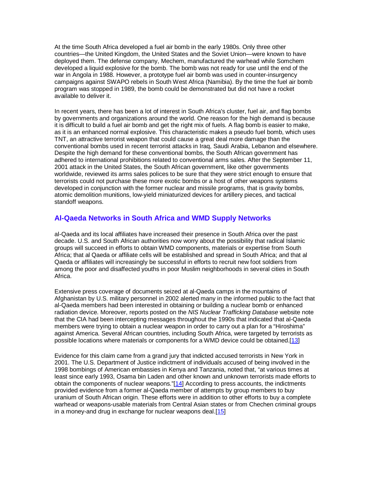At the time South Africa developed a fuel air bomb in the early 1980s. Only three other countries—the United Kingdom, the United States and the Soviet Union—were known to have deployed them. The defense company, Mechem, manufactured the warhead while Somchem developed a liquid explosive for the bomb. The bomb was not ready for use until the end of the war in Angola in 1988. However, a prototype fuel air bomb was used in counter-insurgency campaigns against SWAPO rebels in South West Africa (Namibia). By the time the fuel air bomb program was stopped in 1989, the bomb could be demonstrated but did not have a rocket available to deliver it.

In recent years, there has been a lot of interest in South Africa's cluster, fuel air, and flag bombs by governments and organizations around the world. One reason for the high demand is because it is difficult to build a fuel air bomb and get the right mix of fuels. A flag bomb is easier to make, as it is an enhanced normal explosive. This characteristic makes a pseudo fuel bomb, which uses TNT, an attractive terrorist weapon that could cause a great deal more damage than the conventional bombs used in recent terrorist attacks in Iraq, Saudi Arabia, Lebanon and elsewhere. Despite the high demand for these conventional bombs, the South African government has adhered to international prohibitions related to conventional arms sales. After the September 11, 2001 attack in the United States, the South African government, like other governments worldwide, reviewed its arms sales polices to be sure that they were strict enough to ensure that terrorists could not purchase these more exotic bombs or a host of other weapons systems developed in conjunction with the former nuclear and missile programs, that is gravity bombs, atomic demolition munitions, low-yield miniaturized devices for artillery pieces, and tactical standoff weapons.

#### **Al-Qaeda Networks in South Africa and WMD Supply Networks**

al-Qaeda and its local affiliates have increased their presence in South Africa over the past decade. U.S. and South African authorities now worry about the possibility that radical Islamic groups will succeed in efforts to obtain WMD components, materials or expertise from South Africa; that al Qaeda or affiliate cells will be established and spread in South Africa; and that al Qaeda or affiliates will increasingly be successful in efforts to recruit new foot soldiers from among the poor and disaffected youths in poor Muslim neighborhoods in several cities in South Africa.

Extensive press coverage of documents seized at al-Qaeda camps in the mountains of Afghanistan by U.S. military personnel in 2002 alerted many in the informed public to the fact that al-Qaeda members had been interested in obtaining or building a nuclear bomb or enhanced radiation device. Moreover, reports posted on the NIS Nuclear Trafficking Database website note that the CIA had been intercepting messages throughout the 1990s that indicated that al-Qaeda members were trying to obtain a nuclear weapon in order to carry out a plan for a "Hiroshima" against America. Several African countries, including South Africa, were targeted by terrorists as possible locations where materials or components for a WMD device could be obtained.[13]

Evidence for this claim came from a grand jury that indicted accused terrorists in New York in 2001. The U.S. Department of Justice indictment of individuals accused of being involved in the 1998 bombings of American embassies in Kenya and Tanzania, noted that, "at various times at least since early 1993, Osama bin Laden and other known and unknown terrorists made efforts to obtain the components of nuclear weapons."[14] According to press accounts, the indictments provided evidence from a former al-Qaeda member of attempts by group members to buy uranium of South African origin. These efforts were in addition to other efforts to buy a complete warhead or weapons-usable materials from Central Asian states or from Chechen criminal groups in a money-and drug in exchange for nuclear weapons deal.[15]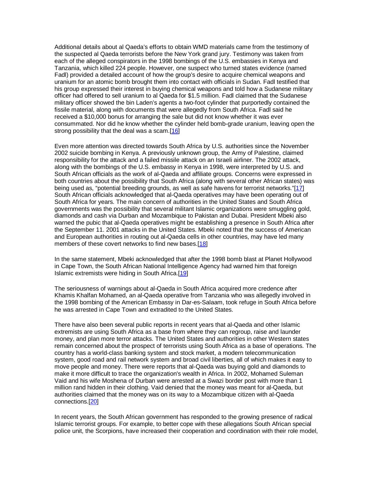Additional details about al Qaeda's efforts to obtain WMD materials came from the testimony of the suspected al Qaeda terrorists before the New York grand jury. Testimony was taken from each of the alleged conspirators in the 1998 bombings of the U.S. embassies in Kenya and Tanzania, which killed 224 people. However, one suspect who turned states evidence (named Fadl) provided a detailed account of how the group's desire to acquire chemical weapons and uranium for an atomic bomb brought them into contact with officials in Sudan. Fadl testified that his group expressed their interest in buying chemical weapons and told how a Sudanese military officer had offered to sell uranium to al Qaeda for \$1.5 million. Fadl claimed that the Sudanese military officer showed the bin Laden's agents a two-foot cylinder that purportedly contained the fissile material, along with documents that were allegedly from South Africa. Fadl said he received a \$10,000 bonus for arranging the sale but did not know whether it was ever consummated. Nor did he know whether the cylinder held bomb-grade uranium, leaving open the strong possibility that the deal was a scam.[16]

Even more attention was directed towards South Africa by U.S. authorities since the November 2002 suicide bombing in Kenya. A previously unknown group, the Army of Palestine, claimed responsibility for the attack and a failed missile attack on an Israeli airliner. The 2002 attack, along with the bombings of the U.S. embassy in Kenya in 1998, were interpreted by U.S. and South African officials as the work of al-Qaeda and affiliate groups. Concerns were expressed in both countries about the possibility that South Africa (along with several other African states) was being used as, "potential breeding grounds, as well as safe havens for terrorist networks."[17] South African officials acknowledged that al-Qaeda operatives may have been operating out of South Africa for years. The main concern of authorities in the United States and South Africa governments was the possibility that several militant Islamic organizations were smuggling gold, diamonds and cash via Durban and Mozambique to Pakistan and Dubai. President Mbeki also warned the pubic that al-Qaeda operatives might be establishing a presence in South Africa after the September 11. 2001 attacks in the United States. Mbeki noted that the success of American and European authorities in routing out al-Qaeda cells in other countries, may have led many members of these covert networks to find new bases.[18]

In the same statement, Mbeki acknowledged that after the 1998 bomb blast at Planet Hollywood in Cape Town, the South African National Intelligence Agency had warned him that foreign Islamic extremists were hiding in South Africa.[19]

The seriousness of warnings about al-Qaeda in South Africa acquired more credence after Khamis Khalfan Mohamed, an al-Qaeda operative from Tanzania who was allegedly involved in the 1998 bombing of the American Embassy in Dar-es-Salaam, took refuge in South Africa before he was arrested in Cape Town and extradited to the United States.

There have also been several public reports in recent years that al-Qaeda and other Islamic extremists are using South Africa as a base from where they can regroup, raise and launder money, and plan more terror attacks. The United States and authorities in other Western states remain concerned about the prospect of terrorists using South Africa as a base of operations. The country has a world-class banking system and stock market, a modern telecommunication system, good road and rail network system and broad civil liberties, all of which makes it easy to move people and money. There were reports that al-Qaeda was buying gold and diamonds to make it more difficult to trace the organization's wealth in Africa. In 2002, Mohamed Suleman Vaid and his wife Moshena of Durban were arrested at a Swazi border post with more than 1 million rand hidden in their clothing. Vaid denied that the money was meant for al-Qaeda, but authorities claimed that the money was on its way to a Mozambique citizen with al-Qaeda connections.[20]

In recent years, the South African government has responded to the growing presence of radical Islamic terrorist groups. For example, to better cope with these allegations South African special police unit, the Scorpions, have increased their cooperation and coordination with their role model,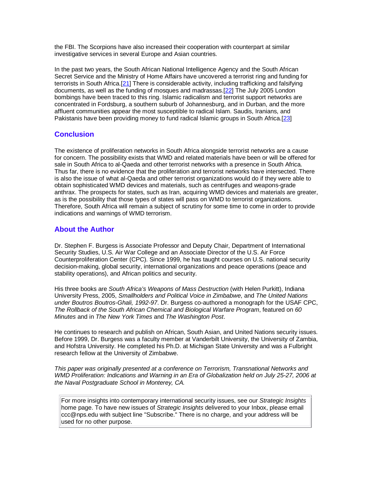the FBI. The Scorpions have also increased their cooperation with counterpart at similar investigative services in several Europe and Asian countries.

In the past two years, the South African National Intelligence Agency and the South African Secret Service and the Ministry of Home Affairs have uncovered a terrorist ring and funding for terrorists in South Africa.<sup>[21]</sup> There is considerable activity, including trafficking and falsifying documents, as well as the funding of mosques and madrassas.[22] The July 2005 London bombings have been traced to this ring. Islamic radicalism and terrorist support networks are concentrated in Fordsburg, a southern suburb of Johannesburg, and in Durban, and the more affluent communities appear the most susceptible to radical Islam. Saudis, Iranians, and Pakistanis have been providing money to fund radical Islamic groups in South Africa.[23]

#### **Conclusion**

The existence of proliferation networks in South Africa alongside terrorist networks are a cause for concern. The possibility exists that WMD and related materials have been or will be offered for sale in South Africa to al-Qaeda and other terrorist networks with a presence in South Africa. Thus far, there is no evidence that the proliferation and terrorist networks have intersected. There is also the issue of what al-Qaeda and other terrorist organizations would do if they were able to obtain sophisticated WMD devices and materials, such as centrifuges and weapons-grade anthrax. The prospects for states, such as Iran, acquiring WMD devices and materials are greater, as is the possibility that those types of states will pass on WMD to terrorist organizations. Therefore, South Africa will remain a subject of scrutiny for some time to come in order to provide indications and warnings of WMD terrorism.

#### **About the Author**

Dr. Stephen F. Burgess is Associate Professor and Deputy Chair, Department of International Security Studies, U.S. Air War College and an Associate Director of the U.S. Air Force Counterproliferation Center (CPC). Since 1999, he has taught courses on U.S. national security decision-making, global security, international organizations and peace operations (peace and stability operations), and African politics and security.

His three books are South Africa's Weapons of Mass Destruction (with Helen Purkitt), Indiana University Press, 2005, Smallholders and Political Voice in Zimbabwe, and The United Nations under Boutros Boutros-Ghali, 1992-97. Dr. Burgess co-authored a monograph for the USAF CPC, The Rollback of the South African Chemical and Biological Warfare Program, featured on 60 Minutes and in The New York Times and The Washington Post.

He continues to research and publish on African, South Asian, and United Nations security issues. Before 1999, Dr. Burgess was a faculty member at Vanderbilt University, the University of Zambia, and Hofstra University. He completed his Ph.D. at Michigan State University and was a Fulbright research fellow at the University of Zimbabwe.

This paper was originally presented at a conference on Terrorism, Transnational Networks and WMD Proliferation: Indications and Warning in an Era of Globalization held on July 25-27, 2006 at the Naval Postgraduate School in Monterey, CA.

For more insights into contemporary international security issues, see our Strategic Insights home page. To have new issues of Strategic Insights delivered to your Inbox, please email ccc@nps.edu with subject line "Subscribe." There is no charge, and your address will be used for no other purpose.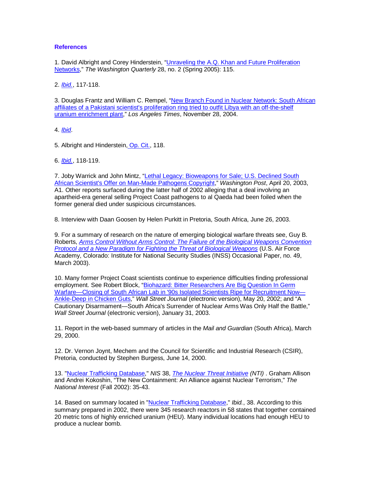#### **References**

1. David Albright and Corey Hinderstein, "Unraveling the A.Q. Khan and Future Proliferation Networks," The Washington Quarterly 28, no. 2 (Spring 2005): 115.

2. *Ibid.*, 117-118.

3. Douglas Frantz and William C. Rempel, "New Branch Found in Nuclear Network: South African affiliates of a Pakistani scientist's proliferation ring tried to outfit Libya with an off-the-shelf uranium enrichment plant," Los Angeles Times, November 28, 2004.

4. Ibid.

5. Albright and Hinderstein, Op. Cit., 118.

6. *Ibid.*, 118-119.

7. Joby Warrick and John Mintz, "Lethal Legacy: Bioweapons for Sale; U.S. Declined South African Scientist's Offer on Man-Made Pathogens Copyright," Washington Post, April 20, 2003, A1. Other reports surfaced during the latter half of 2002 alleging that a deal involving an apartheid-era general selling Project Coast pathogens to al Qaeda had been foiled when the former general died under suspicious circumstances.

8. Interview with Daan Goosen by Helen Purkitt in Pretoria, South Africa, June 26, 2003.

9. For a summary of research on the nature of emerging biological warfare threats see, Guy B. Roberts, Arms Control Without Arms Control: The Failure of the Biological Weapons Convention Protocol and a New Paradigm for Fighting the Threat of Biological Weapons (U.S. Air Force Academy, Colorado: Institute for National Security Studies (INSS) Occasional Paper, no. 49, March 2003).

10. Many former Project Coast scientists continue to experience difficulties finding professional employment. See Robert Block, "Biohazard: Bitter Researchers Are Big Question In Germ Warfare—Closing of South African Lab in '90s Isolated Scientists Ripe for Recruitment Now— Ankle-Deep in Chicken Guts," Wall Street Journal (electronic version), May 20, 2002; and "A Cautionary Disarmament—South Africa's Surrender of Nuclear Arms Was Only Half the Battle," Wall Street Journal (electronic version), January 31, 2003.

11. Report in the web-based summary of articles in the Mail and Guardian (South Africa), March 29, 2000.

12. Dr. Vernon Joynt, Mechem and the Council for Scientific and Industrial Research (CSIR), Pretoria, conducted by Stephen Burgess, June 14, 2000.

13. "Nuclear Trafficking Database," NIS 38, *The Nuclear Threat Initiative (NTI)*. Graham Allison and Andrei Kokoshin, "The New Containment: An Alliance against Nuclear Terrorism," The National Interest (Fall 2002): 35-43.

14. Based on summary located in "Nuclear Trafficking Database," Ibid., 38. According to this summary prepared in 2002, there were 345 research reactors in 58 states that together contained 20 metric tons of highly enriched uranium (HEU). Many individual locations had enough HEU to produce a nuclear bomb.